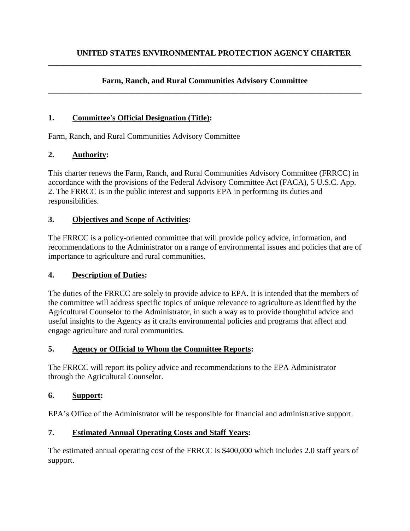#### **Farm, Ranch, and Rural Communities Advisory Committee \_\_\_\_\_\_\_\_\_\_\_\_\_\_\_\_\_\_\_\_\_\_\_\_\_\_\_\_\_\_\_\_\_\_\_\_\_\_\_\_\_\_\_\_\_\_\_\_\_\_\_\_\_\_\_\_\_\_\_\_\_\_\_\_\_\_\_\_\_\_\_\_\_\_\_\_\_\_**

**\_\_\_\_\_\_\_\_\_\_\_\_\_\_\_\_\_\_\_\_\_\_\_\_\_\_\_\_\_\_\_\_\_\_\_\_\_\_\_\_\_\_\_\_\_\_\_\_\_\_\_\_\_\_\_\_\_\_\_\_\_\_\_\_\_\_\_\_\_\_\_\_\_\_\_\_\_\_**

#### **1. Committee's Official Designation (Title):**

Farm, Ranch, and Rural Communities Advisory Committee

### **2. Authority:**

This charter renews the Farm, Ranch, and Rural Communities Advisory Committee (FRRCC) in accordance with the provisions of the Federal Advisory Committee Act (FACA), 5 U.S.C. App. 2. The FRRCC is in the public interest and supports EPA in performing its duties and responsibilities.

### **3. Objectives and Scope of Activities:**

The FRRCC is a policy-oriented committee that will provide policy advice, information, and recommendations to the Administrator on a range of environmental issues and policies that are of importance to agriculture and rural communities.

#### **4. Description of Duties:**

The duties of the FRRCC are solely to provide advice to EPA. It is intended that the members of the committee will address specific topics of unique relevance to agriculture as identified by the Agricultural Counselor to the Administrator, in such a way as to provide thoughtful advice and useful insights to the Agency as it crafts environmental policies and programs that affect and engage agriculture and rural communities.

#### **5. Agency or Official to Whom the Committee Reports:**

The FRRCC will report its policy advice and recommendations to the EPA Administrator through the Agricultural Counselor.

#### **6. Support:**

EPA's Office of the Administrator will be responsible for financial and administrative support.

#### **7. Estimated Annual Operating Costs and Staff Years:**

The estimated annual operating cost of the FRRCC is \$400,000 which includes 2.0 staff years of support.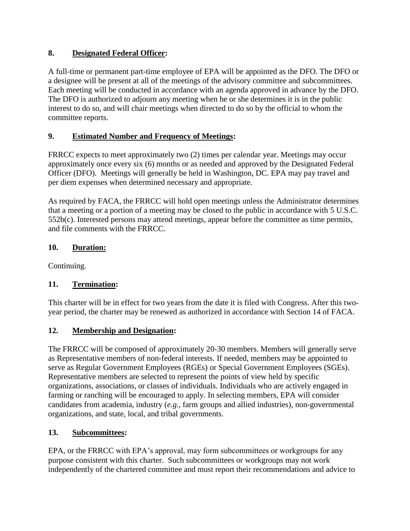# **8. Designated Federal Officer:**

A full-time or permanent part-time employee of EPA will be appointed as the DFO. The DFO or a designee will be present at all of the meetings of the advisory committee and subcommittees. Each meeting will be conducted in accordance with an agenda approved in advance by the DFO. The DFO is authorized to adjourn any meeting when he or she determines it is in the public interest to do so, and will chair meetings when directed to do so by the official to whom the committee reports.

# **9. Estimated Number and Frequency of Meetings:**

FRRCC expects to meet approximately two (2) times per calendar year. Meetings may occur approximately once every six (6) months or as needed and approved by the Designated Federal Officer (DFO). Meetings will generally be held in Washington, DC. EPA may pay travel and per diem expenses when determined necessary and appropriate.

As required by FACA, the FRRCC will hold open meetings unless the Administrator determines that a meeting or a portion of a meeting may be closed to the public in accordance with 5 U.S.C. 552b(c). Interested persons may attend meetings, appear before the committee as time permits, and file comments with the FRRCC.

# **10. Duration:**

Continuing.

# **11. Termination:**

This charter will be in effect for two years from the date it is filed with Congress. After this twoyear period, the charter may be renewed as authorized in accordance with Section 14 of FACA.

# **12. Membership and Designation:**

The FRRCC will be composed of approximately 20-30 members. Members will generally serve as Representative members of non-federal interests. If needed, members may be appointed to serve as Regular Government Employees (RGEs) or Special Government Employees (SGEs). Representative members are selected to represent the points of view held by specific organizations, associations, or classes of individuals. Individuals who are actively engaged in farming or ranching will be encouraged to apply. In selecting members, EPA will consider candidates from academia, industry (*e.g.*, farm groups and allied industries), non-governmental organizations, and state, local, and tribal governments.

# **13. Subcommittees:**

EPA, or the FRRCC with EPA's approval, may form subcommittees or workgroups for any purpose consistent with this charter. Such subcommittees or workgroups may not work independently of the chartered committee and must report their recommendations and advice to